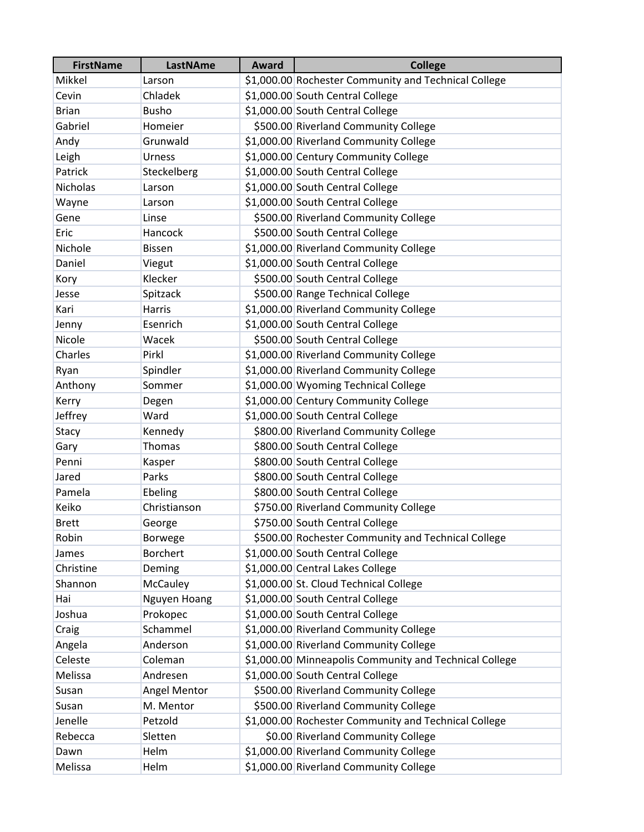| <b>FirstName</b> | <b>LastNAme</b> | <b>Award</b> | <b>College</b>                                         |
|------------------|-----------------|--------------|--------------------------------------------------------|
| Mikkel           | Larson          |              | \$1,000.00 Rochester Community and Technical College   |
| Cevin            | Chladek         |              | \$1,000.00 South Central College                       |
| <b>Brian</b>     | <b>Busho</b>    |              | \$1,000.00 South Central College                       |
| Gabriel          | Homeier         |              | \$500.00 Riverland Community College                   |
| Andy             | Grunwald        |              | \$1,000.00 Riverland Community College                 |
| Leigh            | <b>Urness</b>   |              | \$1,000.00 Century Community College                   |
| Patrick          | Steckelberg     |              | \$1,000.00 South Central College                       |
| <b>Nicholas</b>  | Larson          |              | \$1,000.00 South Central College                       |
| Wayne            | Larson          |              | \$1,000.00 South Central College                       |
| Gene             | Linse           |              | \$500.00 Riverland Community College                   |
| Eric             | Hancock         |              | \$500.00 South Central College                         |
| Nichole          | <b>Bissen</b>   |              | \$1,000.00 Riverland Community College                 |
| Daniel           | Viegut          |              | \$1,000.00 South Central College                       |
| Kory             | Klecker         |              | \$500.00 South Central College                         |
| Jesse            | Spitzack        |              | \$500.00 Range Technical College                       |
| Kari             | Harris          |              | \$1,000.00 Riverland Community College                 |
| Jenny            | Esenrich        |              | \$1,000.00 South Central College                       |
| Nicole           | Wacek           |              | \$500.00 South Central College                         |
| Charles          | Pirkl           |              | \$1,000.00 Riverland Community College                 |
| Ryan             | Spindler        |              | \$1,000.00 Riverland Community College                 |
| Anthony          | Sommer          |              | \$1,000.00 Wyoming Technical College                   |
| Kerry            | Degen           |              | \$1,000.00 Century Community College                   |
| Jeffrey          | Ward            |              | \$1,000.00 South Central College                       |
| Stacy            | Kennedy         |              | \$800.00 Riverland Community College                   |
| Gary             | Thomas          |              | \$800.00 South Central College                         |
| Penni            | Kasper          |              | \$800.00 South Central College                         |
| Jared            | Parks           |              | \$800.00 South Central College                         |
| Pamela           | Ebeling         |              | \$800.00 South Central College                         |
| Keiko            | Christianson    |              | \$750.00 Riverland Community College                   |
| <b>Brett</b>     | George          |              | \$750.00 South Central College                         |
| Robin            | <b>Borwege</b>  |              | \$500.00 Rochester Community and Technical College     |
| James            | <b>Borchert</b> |              | \$1,000.00 South Central College                       |
| Christine        | Deming          |              | \$1,000.00 Central Lakes College                       |
| Shannon          | McCauley        |              | \$1,000.00 St. Cloud Technical College                 |
| Hai              | Nguyen Hoang    |              | \$1,000.00 South Central College                       |
| Joshua           | Prokopec        |              | \$1,000.00 South Central College                       |
| Craig            | Schammel        |              | \$1,000.00 Riverland Community College                 |
| Angela           | Anderson        |              | \$1,000.00 Riverland Community College                 |
| Celeste          | Coleman         |              | \$1,000.00 Minneapolis Community and Technical College |
| Melissa          | Andresen        |              | \$1,000.00 South Central College                       |
| Susan            | Angel Mentor    |              | \$500.00 Riverland Community College                   |
| Susan            | M. Mentor       |              | \$500.00 Riverland Community College                   |
| Jenelle          | Petzold         |              | \$1,000.00 Rochester Community and Technical College   |
| Rebecca          | Sletten         |              | \$0.00 Riverland Community College                     |
| Dawn             | Helm            |              | \$1,000.00 Riverland Community College                 |
| Melissa          | Helm            |              | \$1,000.00 Riverland Community College                 |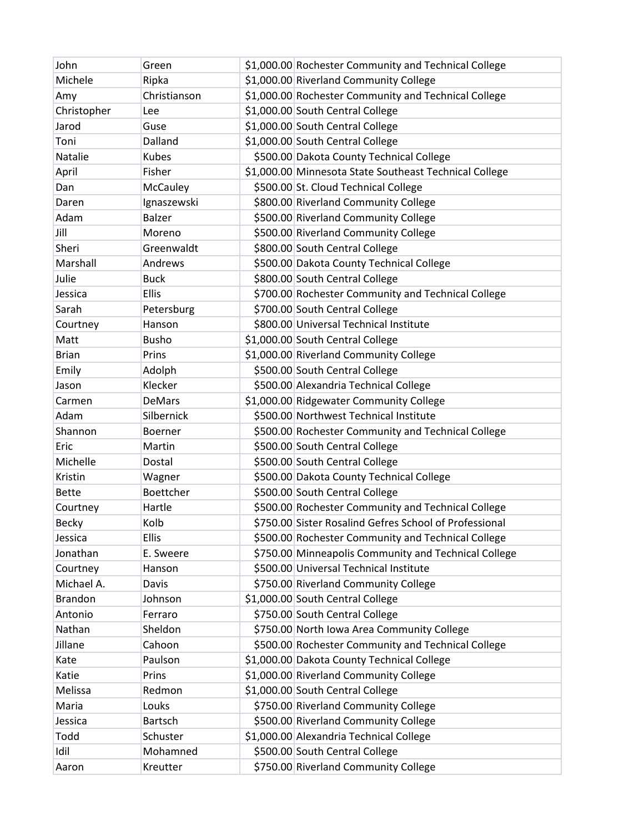| John           | Green            | \$1,000.00 Rochester Community and Technical College   |
|----------------|------------------|--------------------------------------------------------|
| Michele        | Ripka            | \$1,000.00 Riverland Community College                 |
| Amy            | Christianson     | \$1,000.00 Rochester Community and Technical College   |
| Christopher    | Lee              | \$1,000.00 South Central College                       |
| Jarod          | Guse             | \$1,000.00 South Central College                       |
| Toni           | Dalland          | \$1,000.00 South Central College                       |
| Natalie        | Kubes            | \$500.00 Dakota County Technical College               |
| April          | Fisher           | \$1,000.00 Minnesota State Southeast Technical College |
| Dan            | <b>McCauley</b>  | \$500.00 St. Cloud Technical College                   |
| Daren          | Ignaszewski      | \$800.00 Riverland Community College                   |
| Adam           | <b>Balzer</b>    | \$500.00 Riverland Community College                   |
| Jill           | Moreno           | \$500.00 Riverland Community College                   |
| Sheri          | Greenwaldt       | \$800.00 South Central College                         |
| Marshall       | Andrews          | \$500.00 Dakota County Technical College               |
| Julie          | <b>Buck</b>      | \$800.00 South Central College                         |
| Jessica        | <b>Ellis</b>     | \$700.00 Rochester Community and Technical College     |
| Sarah          | Petersburg       | \$700.00 South Central College                         |
| Courtney       | Hanson           | \$800.00 Universal Technical Institute                 |
| Matt           | Busho            | \$1,000.00 South Central College                       |
| <b>Brian</b>   | Prins            | \$1,000.00 Riverland Community College                 |
| Emily          | Adolph           | \$500.00 South Central College                         |
| Jason          | Klecker          | \$500.00 Alexandria Technical College                  |
| Carmen         | <b>DeMars</b>    | \$1,000.00 Ridgewater Community College                |
| Adam           | Silbernick       | \$500.00 Northwest Technical Institute                 |
| Shannon        | <b>Boerner</b>   | \$500.00 Rochester Community and Technical College     |
| Eric           | Martin           | \$500.00 South Central College                         |
| Michelle       | Dostal           | \$500.00 South Central College                         |
| Kristin        | Wagner           | \$500.00 Dakota County Technical College               |
| <b>Bette</b>   | <b>Boettcher</b> | \$500.00 South Central College                         |
| Courtney       | Hartle           | \$500.00 Rochester Community and Technical College     |
| Becky          | Kolb             | \$750.00 Sister Rosalind Gefres School of Professional |
| Jessica        | <b>Ellis</b>     | \$500.00 Rochester Community and Technical College     |
| Jonathan       | E. Sweere        | \$750.00 Minneapolis Community and Technical College   |
| Courtney       | Hanson           | \$500.00 Universal Technical Institute                 |
| Michael A.     | Davis            | \$750.00 Riverland Community College                   |
| <b>Brandon</b> | Johnson          | \$1,000.00 South Central College                       |
| Antonio        | Ferraro          | \$750.00 South Central College                         |
| Nathan         | Sheldon          | \$750.00 North Iowa Area Community College             |
| Jillane        | Cahoon           | \$500.00 Rochester Community and Technical College     |
| Kate           | Paulson          | \$1,000.00 Dakota County Technical College             |
| Katie          | Prins            | \$1,000.00 Riverland Community College                 |
| Melissa        | Redmon           | \$1,000.00 South Central College                       |
| Maria          | Louks            | \$750.00 Riverland Community College                   |
| Jessica        | Bartsch          | \$500.00 Riverland Community College                   |
| Todd           | Schuster         | \$1,000.00 Alexandria Technical College                |
| Idil           | Mohamned         | \$500.00 South Central College                         |
| Aaron          | Kreutter         | \$750.00 Riverland Community College                   |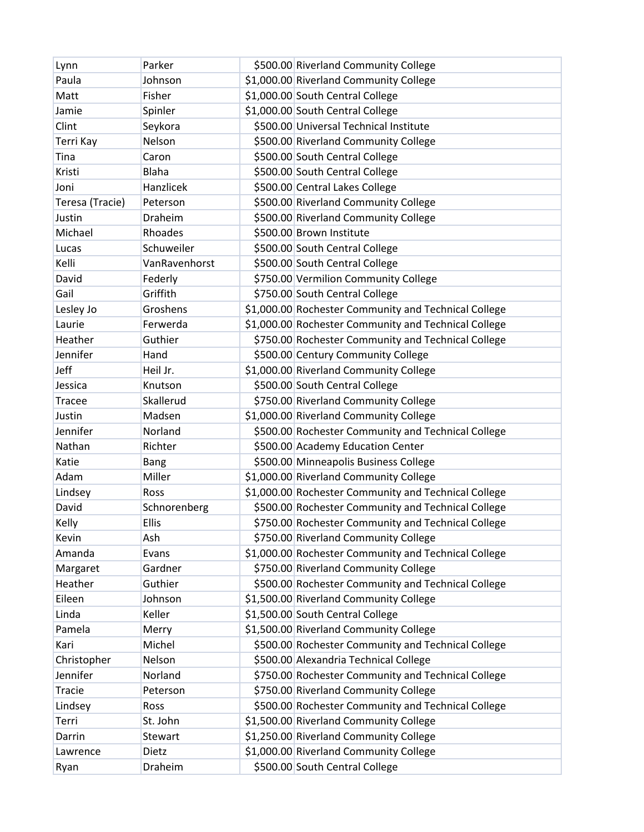| Lynn            | Parker        | \$500.00 Riverland Community College                 |
|-----------------|---------------|------------------------------------------------------|
| Paula           | Johnson       | \$1,000.00 Riverland Community College               |
| Matt            | Fisher        | \$1,000.00 South Central College                     |
| Jamie           | Spinler       | \$1,000.00 South Central College                     |
| Clint           | Seykora       | \$500.00 Universal Technical Institute               |
| Terri Kay       | Nelson        | \$500.00 Riverland Community College                 |
| Tina            | Caron         | \$500.00 South Central College                       |
| Kristi          | Blaha         | \$500.00 South Central College                       |
| Joni            | Hanzlicek     | \$500.00 Central Lakes College                       |
| Teresa (Tracie) | Peterson      | \$500.00 Riverland Community College                 |
| Justin          | Draheim       | \$500.00 Riverland Community College                 |
| Michael         | Rhoades       | \$500.00 Brown Institute                             |
| Lucas           | Schuweiler    | \$500.00 South Central College                       |
| Kelli           | VanRavenhorst | \$500.00 South Central College                       |
| David           | Federly       | \$750.00 Vermilion Community College                 |
| Gail            | Griffith      | \$750.00 South Central College                       |
| Lesley Jo       | Groshens      | \$1,000.00 Rochester Community and Technical College |
| Laurie          | Ferwerda      | \$1,000.00 Rochester Community and Technical College |
| Heather         | Guthier       | \$750.00 Rochester Community and Technical College   |
| Jennifer        | Hand          | \$500.00 Century Community College                   |
| Jeff            | Heil Jr.      | \$1,000.00 Riverland Community College               |
| Jessica         | Knutson       | \$500.00 South Central College                       |
| <b>Tracee</b>   | Skallerud     | \$750.00 Riverland Community College                 |
| Justin          | Madsen        | \$1,000.00 Riverland Community College               |
| Jennifer        | Norland       | \$500.00 Rochester Community and Technical College   |
| Nathan          | Richter       | \$500.00 Academy Education Center                    |
| Katie           | <b>Bang</b>   | \$500.00 Minneapolis Business College                |
| Adam            | Miller        | \$1,000.00 Riverland Community College               |
| Lindsey         | <b>Ross</b>   | \$1,000.00 Rochester Community and Technical College |
| David           | Schnorenberg  | \$500.00 Rochester Community and Technical College   |
| Kelly           | <b>Ellis</b>  | \$750.00 Rochester Community and Technical College   |
| Kevin           | Ash           | \$750.00 Riverland Community College                 |
| Amanda          | Evans         | \$1,000.00 Rochester Community and Technical College |
| Margaret        | Gardner       | \$750.00 Riverland Community College                 |
| Heather         | Guthier       | \$500.00 Rochester Community and Technical College   |
| Eileen          | Johnson       | \$1,500.00 Riverland Community College               |
| Linda           | Keller        | \$1,500.00 South Central College                     |
| Pamela          | Merry         | \$1,500.00 Riverland Community College               |
| Kari            | Michel        | \$500.00 Rochester Community and Technical College   |
| Christopher     | Nelson        | \$500.00 Alexandria Technical College                |
| Jennifer        | Norland       | \$750.00 Rochester Community and Technical College   |
| Tracie          | Peterson      | \$750.00 Riverland Community College                 |
| Lindsey         | Ross          | \$500.00 Rochester Community and Technical College   |
| Terri           | St. John      | \$1,500.00 Riverland Community College               |
| Darrin          | Stewart       | \$1,250.00 Riverland Community College               |
| Lawrence        | Dietz         | \$1,000.00 Riverland Community College               |
| Ryan            | Draheim       | \$500.00 South Central College                       |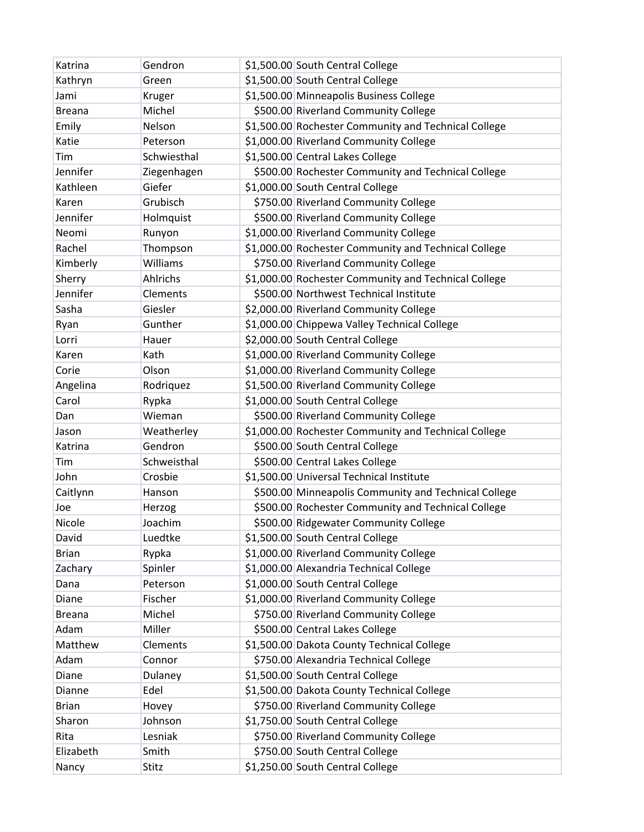| Katrina       | Gendron     | \$1,500.00 South Central College                     |
|---------------|-------------|------------------------------------------------------|
| Kathryn       | Green       | \$1,500.00 South Central College                     |
| Jami          | Kruger      | \$1,500.00 Minneapolis Business College              |
| <b>Breana</b> | Michel      | \$500.00 Riverland Community College                 |
| Emily         | Nelson      | \$1,500.00 Rochester Community and Technical College |
| Katie         | Peterson    | \$1,000.00 Riverland Community College               |
| Tim           | Schwiesthal | \$1,500.00 Central Lakes College                     |
| Jennifer      | Ziegenhagen | \$500.00 Rochester Community and Technical College   |
| Kathleen      | Giefer      | \$1,000.00 South Central College                     |
| Karen         | Grubisch    | \$750.00 Riverland Community College                 |
| Jennifer      | Holmquist   | \$500.00 Riverland Community College                 |
| Neomi         | Runyon      | \$1,000.00 Riverland Community College               |
| Rachel        | Thompson    | \$1,000.00 Rochester Community and Technical College |
| Kimberly      | Williams    | \$750.00 Riverland Community College                 |
| Sherry        | Ahlrichs    | \$1,000.00 Rochester Community and Technical College |
| Jennifer      | Clements    | \$500.00 Northwest Technical Institute               |
| Sasha         | Giesler     | \$2,000.00 Riverland Community College               |
| Ryan          | Gunther     | \$1,000.00 Chippewa Valley Technical College         |
| Lorri         | Hauer       | \$2,000.00 South Central College                     |
| Karen         | Kath        | \$1,000.00 Riverland Community College               |
| Corie         | Olson       | \$1,000.00 Riverland Community College               |
| Angelina      | Rodriquez   | \$1,500.00 Riverland Community College               |
| Carol         | Rypka       | \$1,000.00 South Central College                     |
| Dan           | Wieman      | \$500.00 Riverland Community College                 |
| Jason         | Weatherley  | \$1,000.00 Rochester Community and Technical College |
| Katrina       | Gendron     | \$500.00 South Central College                       |
| Tim           | Schweisthal | \$500.00 Central Lakes College                       |
| John          | Crosbie     | \$1,500.00 Universal Technical Institute             |
| Caitlynn      | Hanson      | \$500.00 Minneapolis Community and Technical College |
| Joe           | Herzog      | \$500.00 Rochester Community and Technical College   |
| Nicole        | Joachim     | \$500.00 Ridgewater Community College                |
| David         | Luedtke     | \$1,500.00 South Central College                     |
| <b>Brian</b>  | Rypka       | \$1,000.00 Riverland Community College               |
| Zachary       | Spinler     | \$1,000.00 Alexandria Technical College              |
| Dana          | Peterson    | \$1,000.00 South Central College                     |
| Diane         | Fischer     | \$1,000.00 Riverland Community College               |
| <b>Breana</b> | Michel      | \$750.00 Riverland Community College                 |
| Adam          | Miller      | \$500.00 Central Lakes College                       |
| Matthew       | Clements    | \$1,500.00 Dakota County Technical College           |
| Adam          | Connor      | \$750.00 Alexandria Technical College                |
| Diane         | Dulaney     | \$1,500.00 South Central College                     |
| Dianne        | Edel        | \$1,500.00 Dakota County Technical College           |
| <b>Brian</b>  | Hovey       | \$750.00 Riverland Community College                 |
| Sharon        | Johnson     | \$1,750.00 South Central College                     |
| Rita          | Lesniak     | \$750.00 Riverland Community College                 |
| Elizabeth     | Smith       | \$750.00 South Central College                       |
| Nancy         | Stitz       | \$1,250.00 South Central College                     |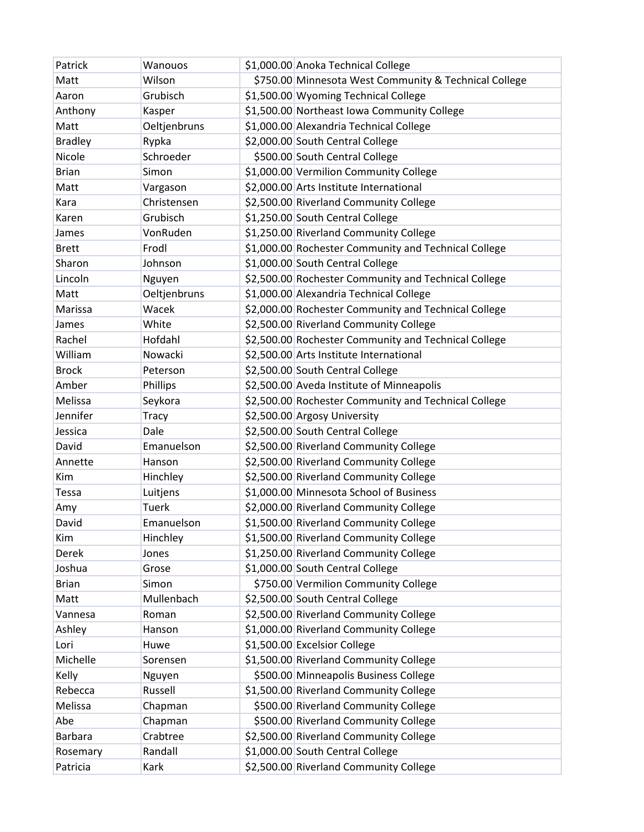| Patrick        | Wanouos      | \$1,000.00 Anoka Technical College                    |
|----------------|--------------|-------------------------------------------------------|
| Matt           | Wilson       | \$750.00 Minnesota West Community & Technical College |
| Aaron          | Grubisch     | \$1,500.00 Wyoming Technical College                  |
| Anthony        | Kasper       | \$1,500.00 Northeast Iowa Community College           |
| Matt           | Oeltjenbruns | \$1,000.00 Alexandria Technical College               |
| <b>Bradley</b> | Rypka        | \$2,000.00 South Central College                      |
| Nicole         | Schroeder    | \$500.00 South Central College                        |
| <b>Brian</b>   | Simon        | \$1,000.00 Vermilion Community College                |
| Matt           | Vargason     | \$2,000.00 Arts Institute International               |
| Kara           | Christensen  | \$2,500.00 Riverland Community College                |
| Karen          | Grubisch     | \$1,250.00 South Central College                      |
| James          | VonRuden     | \$1,250.00 Riverland Community College                |
| <b>Brett</b>   | Frodl        | \$1,000.00 Rochester Community and Technical College  |
| Sharon         | Johnson      | \$1,000.00 South Central College                      |
| Lincoln        | Nguyen       | \$2,500.00 Rochester Community and Technical College  |
| Matt           | Oeltjenbruns | \$1,000.00 Alexandria Technical College               |
| Marissa        | Wacek        | \$2,000.00 Rochester Community and Technical College  |
| James          | White        | \$2,500.00 Riverland Community College                |
| Rachel         | Hofdahl      | \$2,500.00 Rochester Community and Technical College  |
| William        | Nowacki      | \$2,500.00 Arts Institute International               |
| <b>Brock</b>   | Peterson     | \$2,500.00 South Central College                      |
| Amber          | Phillips     | \$2,500.00 Aveda Institute of Minneapolis             |
| Melissa        | Seykora      | \$2,500.00 Rochester Community and Technical College  |
| Jennifer       | <b>Tracy</b> | \$2,500.00 Argosy University                          |
| Jessica        | Dale         | \$2,500.00 South Central College                      |
| David          | Emanuelson   | \$2,500.00 Riverland Community College                |
| Annette        | Hanson       | \$2,500.00 Riverland Community College                |
| Kim            | Hinchley     | \$2,500.00 Riverland Community College                |
| Tessa          | Luitjens     | \$1,000.00 Minnesota School of Business               |
| Amy            | <b>Tuerk</b> | \$2,000.00 Riverland Community College                |
| David          | Emanuelson   | \$1,500.00 Riverland Community College                |
| Kim            | Hinchley     | \$1,500.00 Riverland Community College                |
| <b>Derek</b>   | Jones        | \$1,250.00 Riverland Community College                |
| Joshua         | Grose        | \$1,000.00 South Central College                      |
| <b>Brian</b>   | Simon        | \$750.00 Vermilion Community College                  |
| Matt           | Mullenbach   | \$2,500.00 South Central College                      |
| Vannesa        | Roman        | \$2,500.00 Riverland Community College                |
| Ashley         | Hanson       | \$1,000.00 Riverland Community College                |
| Lori           | Huwe         | \$1,500.00 Excelsior College                          |
| Michelle       | Sorensen     | \$1,500.00 Riverland Community College                |
| Kelly          | Nguyen       | \$500.00 Minneapolis Business College                 |
| Rebecca        | Russell      | \$1,500.00 Riverland Community College                |
| Melissa        | Chapman      | \$500.00 Riverland Community College                  |
| Abe            | Chapman      | \$500.00 Riverland Community College                  |
| <b>Barbara</b> | Crabtree     | \$2,500.00 Riverland Community College                |
| Rosemary       | Randall      | \$1,000.00 South Central College                      |
| Patricia       | Kark         | \$2,500.00 Riverland Community College                |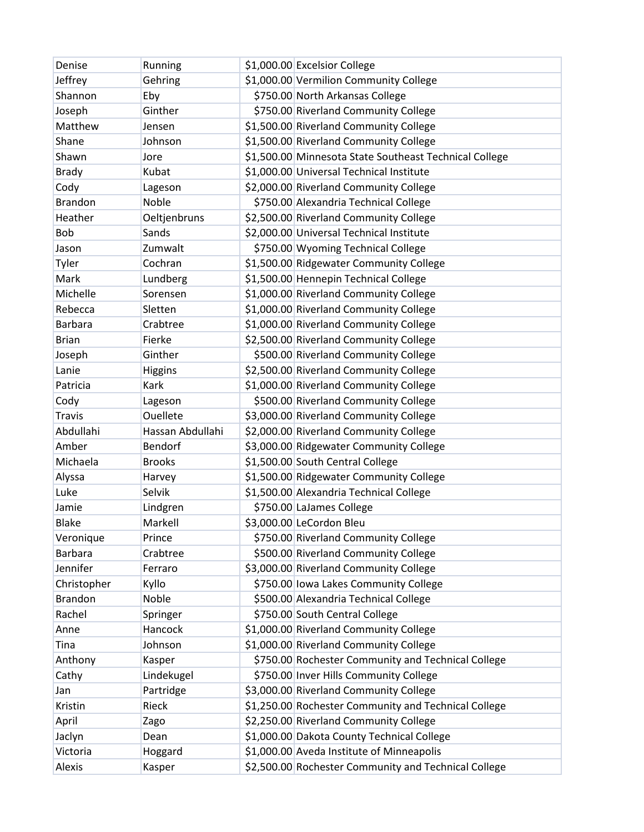| Denise         | Running          | \$1,000.00 Excelsior College                           |
|----------------|------------------|--------------------------------------------------------|
| Jeffrey        | Gehring          | \$1,000.00 Vermilion Community College                 |
| Shannon        | Eby              | \$750.00 North Arkansas College                        |
| Joseph         | Ginther          | \$750.00 Riverland Community College                   |
| Matthew        | Jensen           | \$1,500.00 Riverland Community College                 |
| Shane          | Johnson          | \$1,500.00 Riverland Community College                 |
| Shawn          | Jore             | \$1,500.00 Minnesota State Southeast Technical College |
| <b>Brady</b>   | Kubat            | \$1,000.00 Universal Technical Institute               |
| Cody           | Lageson          | \$2,000.00 Riverland Community College                 |
| <b>Brandon</b> | Noble            | \$750.00 Alexandria Technical College                  |
| Heather        | Oeltjenbruns     | \$2,500.00 Riverland Community College                 |
| Bob            | Sands            | \$2,000.00 Universal Technical Institute               |
| Jason          | Zumwalt          | \$750.00 Wyoming Technical College                     |
| Tyler          | Cochran          | \$1,500.00 Ridgewater Community College                |
| Mark           | Lundberg         | \$1,500.00 Hennepin Technical College                  |
| Michelle       | Sorensen         | \$1,000.00 Riverland Community College                 |
| Rebecca        | Sletten          | \$1,000.00 Riverland Community College                 |
| <b>Barbara</b> | Crabtree         | \$1,000.00 Riverland Community College                 |
| <b>Brian</b>   | Fierke           | \$2,500.00 Riverland Community College                 |
| Joseph         | Ginther          | \$500.00 Riverland Community College                   |
| Lanie          | <b>Higgins</b>   | \$2,500.00 Riverland Community College                 |
| Patricia       | Kark             | \$1,000.00 Riverland Community College                 |
| Cody           | Lageson          | \$500.00 Riverland Community College                   |
| <b>Travis</b>  | Ouellete         | \$3,000.00 Riverland Community College                 |
| Abdullahi      | Hassan Abdullahi | \$2,000.00 Riverland Community College                 |
| Amber          | Bendorf          | \$3,000.00 Ridgewater Community College                |
| Michaela       | <b>Brooks</b>    | \$1,500.00 South Central College                       |
| Alyssa         | Harvey           | \$1,500.00 Ridgewater Community College                |
| Luke           | Selvik           | \$1,500.00 Alexandria Technical College                |
| Jamie          | Lindgren         | \$750.00 LaJames College                               |
| <b>Blake</b>   | Markell          | \$3,000.00 LeCordon Bleu                               |
| Veronique      | Prince           | \$750.00 Riverland Community College                   |
| <b>Barbara</b> | Crabtree         | \$500.00 Riverland Community College                   |
| Jennifer       | Ferraro          | \$3,000.00 Riverland Community College                 |
| Christopher    | Kyllo            | \$750.00 Iowa Lakes Community College                  |
| <b>Brandon</b> | Noble            | \$500.00 Alexandria Technical College                  |
| Rachel         | Springer         | \$750.00 South Central College                         |
| Anne           | Hancock          | \$1,000.00 Riverland Community College                 |
| Tina           | Johnson          | \$1,000.00 Riverland Community College                 |
| Anthony        | Kasper           | \$750.00 Rochester Community and Technical College     |
| Cathy          | Lindekugel       | \$750.00 Inver Hills Community College                 |
| Jan            | Partridge        | \$3,000.00 Riverland Community College                 |
| Kristin        | Rieck            | \$1,250.00 Rochester Community and Technical College   |
| April          | Zago             | \$2,250.00 Riverland Community College                 |
| Jaclyn         | Dean             | \$1,000.00 Dakota County Technical College             |
| Victoria       | Hoggard          | \$1,000.00 Aveda Institute of Minneapolis              |
| Alexis         | Kasper           | \$2,500.00 Rochester Community and Technical College   |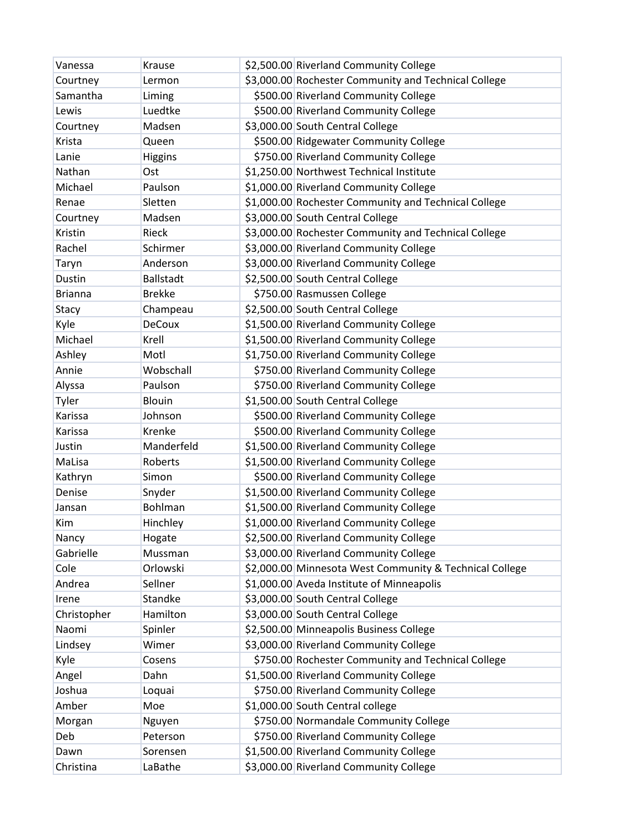| Vanessa        | Krause           | \$2,500.00 Riverland Community College                  |
|----------------|------------------|---------------------------------------------------------|
| Courtney       | Lermon           | \$3,000.00 Rochester Community and Technical College    |
| Samantha       | Liming           | \$500.00 Riverland Community College                    |
| Lewis          | Luedtke          | \$500.00 Riverland Community College                    |
| Courtney       | Madsen           | \$3,000.00 South Central College                        |
| Krista         | Queen            | \$500.00 Ridgewater Community College                   |
| Lanie          | <b>Higgins</b>   | \$750.00 Riverland Community College                    |
| Nathan         | Ost              | \$1,250.00 Northwest Technical Institute                |
| Michael        | Paulson          | \$1,000.00 Riverland Community College                  |
| Renae          | Sletten          | \$1,000.00 Rochester Community and Technical College    |
| Courtney       | Madsen           | \$3,000.00 South Central College                        |
| Kristin        | Rieck            | \$3,000.00 Rochester Community and Technical College    |
| Rachel         | Schirmer         | \$3,000.00 Riverland Community College                  |
| Taryn          | Anderson         | \$3,000.00 Riverland Community College                  |
| Dustin         | <b>Ballstadt</b> | \$2,500.00 South Central College                        |
| <b>Brianna</b> | <b>Brekke</b>    | \$750.00 Rasmussen College                              |
| Stacy          | Champeau         | \$2,500.00 South Central College                        |
| Kyle           | <b>DeCoux</b>    | \$1,500.00 Riverland Community College                  |
| Michael        | Krell            | \$1,500.00 Riverland Community College                  |
| Ashley         | Motl             | \$1,750.00 Riverland Community College                  |
| Annie          | Wobschall        | \$750.00 Riverland Community College                    |
| Alyssa         | Paulson          | \$750.00 Riverland Community College                    |
| Tyler          | Blouin           | \$1,500.00 South Central College                        |
| Karissa        | Johnson          | \$500.00 Riverland Community College                    |
| Karissa        | Krenke           | \$500.00 Riverland Community College                    |
| Justin         | Manderfeld       | \$1,500.00 Riverland Community College                  |
| MaLisa         | Roberts          | \$1,500.00 Riverland Community College                  |
| Kathryn        | Simon            | \$500.00 Riverland Community College                    |
| Denise         | Snyder           | \$1,500.00 Riverland Community College                  |
| Jansan         | Bohlman          | \$1,500.00 Riverland Community College                  |
| Kim            | Hinchley         | \$1,000.00 Riverland Community College                  |
| Nancy          | Hogate           | \$2,500.00 Riverland Community College                  |
| Gabrielle      | Mussman          | \$3,000.00 Riverland Community College                  |
| Cole           | Orlowski         | \$2,000.00 Minnesota West Community & Technical College |
| Andrea         | Sellner          | \$1,000.00 Aveda Institute of Minneapolis               |
| Irene          | Standke          | \$3,000.00 South Central College                        |
| Christopher    | Hamilton         | \$3,000.00 South Central College                        |
| Naomi          | Spinler          | \$2,500.00 Minneapolis Business College                 |
| Lindsey        | Wimer            | \$3,000.00 Riverland Community College                  |
| Kyle           | Cosens           | \$750.00 Rochester Community and Technical College      |
| Angel          | Dahn             | \$1,500.00 Riverland Community College                  |
| Joshua         | Loquai           | \$750.00 Riverland Community College                    |
| Amber          | Moe              | \$1,000.00 South Central college                        |
| Morgan         | Nguyen           | \$750.00 Normandale Community College                   |
| Deb            | Peterson         | \$750.00 Riverland Community College                    |
| Dawn           | Sorensen         | \$1,500.00 Riverland Community College                  |
| Christina      | LaBathe          | \$3,000.00 Riverland Community College                  |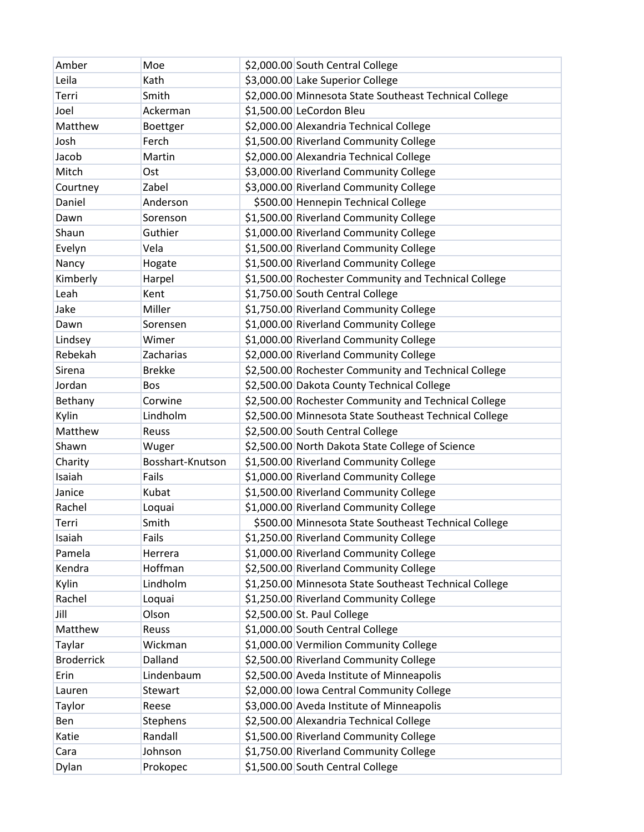| Amber             | Moe              | \$2,000.00 South Central College                       |
|-------------------|------------------|--------------------------------------------------------|
| Leila             | Kath             | \$3,000.00 Lake Superior College                       |
| Terri             | Smith            | \$2,000.00 Minnesota State Southeast Technical College |
| Joel              | Ackerman         | \$1,500.00 LeCordon Bleu                               |
| Matthew           | Boettger         | \$2,000.00 Alexandria Technical College                |
| Josh              | Ferch            | \$1,500.00 Riverland Community College                 |
| Jacob             | Martin           | \$2,000.00 Alexandria Technical College                |
| Mitch             | Ost              | \$3,000.00 Riverland Community College                 |
| Courtney          | Zabel            | \$3,000.00 Riverland Community College                 |
| Daniel            | Anderson         | \$500.00 Hennepin Technical College                    |
| Dawn              | Sorenson         | \$1,500.00 Riverland Community College                 |
| Shaun             | Guthier          | \$1,000.00 Riverland Community College                 |
| Evelyn            | Vela             | \$1,500.00 Riverland Community College                 |
| Nancy             | Hogate           | \$1,500.00 Riverland Community College                 |
| Kimberly          | Harpel           | \$1,500.00 Rochester Community and Technical College   |
| Leah              | Kent             | \$1,750.00 South Central College                       |
| Jake              | Miller           | \$1,750.00 Riverland Community College                 |
| Dawn              | Sorensen         | \$1,000.00 Riverland Community College                 |
| Lindsey           | Wimer            | \$1,000.00 Riverland Community College                 |
| Rebekah           | Zacharias        | \$2,000.00 Riverland Community College                 |
| Sirena            | <b>Brekke</b>    | \$2,500.00 Rochester Community and Technical College   |
| Jordan            | <b>Bos</b>       | \$2,500.00 Dakota County Technical College             |
| Bethany           | Corwine          | \$2,500.00 Rochester Community and Technical College   |
| Kylin             | Lindholm         | \$2,500.00 Minnesota State Southeast Technical College |
| Matthew           | <b>Reuss</b>     | \$2,500.00 South Central College                       |
| Shawn             | Wuger            | \$2,500.00 North Dakota State College of Science       |
| Charity           | Bosshart-Knutson | \$1,500.00 Riverland Community College                 |
| Isaiah            | Fails            | \$1,000.00 Riverland Community College                 |
| Janice            | Kubat            | \$1,500.00 Riverland Community College                 |
| Rachel            | Loquai           | \$1,000.00 Riverland Community College                 |
| Terri             | Smith            | \$500.00 Minnesota State Southeast Technical College   |
| Isaiah            | Fails            | \$1,250.00 Riverland Community College                 |
| Pamela            | Herrera          | \$1,000.00 Riverland Community College                 |
| Kendra            | Hoffman          | \$2,500.00 Riverland Community College                 |
| Kylin             | Lindholm         | \$1,250.00 Minnesota State Southeast Technical College |
| Rachel            | Loquai           | \$1,250.00 Riverland Community College                 |
| Jill              | Olson            | \$2,500.00 St. Paul College                            |
| Matthew           | Reuss            | \$1,000.00 South Central College                       |
| Taylar            | Wickman          | \$1,000.00 Vermilion Community College                 |
| <b>Broderrick</b> | Dalland          | \$2,500.00 Riverland Community College                 |
| Erin              | Lindenbaum       | \$2,500.00 Aveda Institute of Minneapolis              |
| Lauren            | Stewart          | \$2,000.00 Iowa Central Community College              |
| Taylor            | Reese            | \$3,000.00 Aveda Institute of Minneapolis              |
| Ben               | Stephens         | \$2,500.00 Alexandria Technical College                |
| Katie             | Randall          | \$1,500.00 Riverland Community College                 |
| Cara              | Johnson          | \$1,750.00 Riverland Community College                 |
| Dylan             | Prokopec         | \$1,500.00 South Central College                       |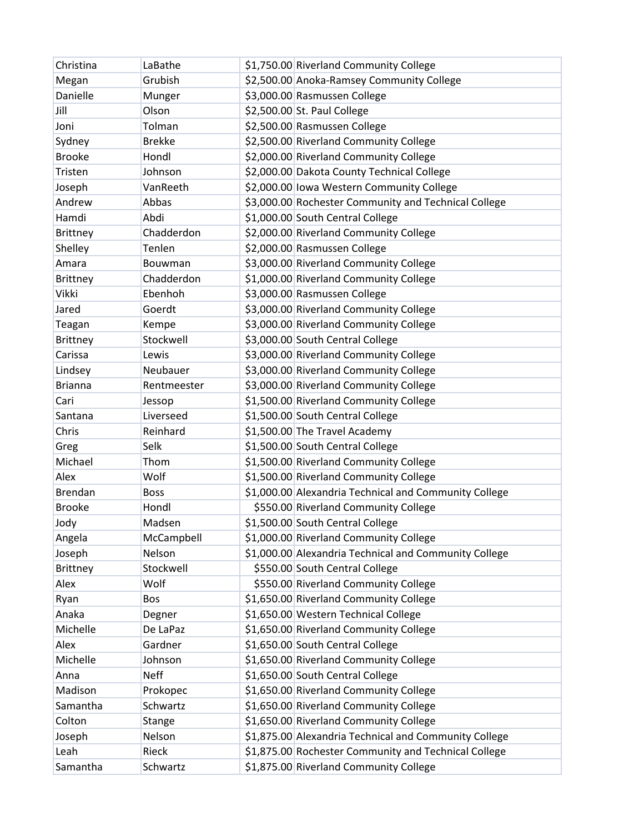| Christina       | LaBathe        | \$1,750.00 Riverland Community College                |
|-----------------|----------------|-------------------------------------------------------|
| Megan           | Grubish        | \$2,500.00 Anoka-Ramsey Community College             |
| Danielle        | Munger         | \$3,000.00 Rasmussen College                          |
| Jill            | Olson          | \$2,500.00 St. Paul College                           |
| Joni            | Tolman         | \$2,500.00 Rasmussen College                          |
| Sydney          | <b>Brekke</b>  | \$2,500.00 Riverland Community College                |
| <b>Brooke</b>   | Hondl          | \$2,000.00 Riverland Community College                |
| Tristen         | Johnson        | \$2,000.00 Dakota County Technical College            |
| Joseph          | VanReeth       | \$2,000.00 lowa Western Community College             |
| Andrew          | Abbas          | \$3,000.00 Rochester Community and Technical College  |
| Hamdi           | Abdi           | \$1,000.00 South Central College                      |
| <b>Brittney</b> | Chadderdon     | \$2,000.00 Riverland Community College                |
| Shelley         | Tenlen         | \$2,000.00 Rasmussen College                          |
| Amara           | <b>Bouwman</b> | \$3,000.00 Riverland Community College                |
| <b>Brittney</b> | Chadderdon     | \$1,000.00 Riverland Community College                |
| Vikki           | Ebenhoh        | \$3,000.00 Rasmussen College                          |
| Jared           | Goerdt         | \$3,000.00 Riverland Community College                |
| Teagan          | Kempe          | \$3,000.00 Riverland Community College                |
| <b>Brittney</b> | Stockwell      | \$3,000.00 South Central College                      |
| Carissa         | Lewis          | \$3,000.00 Riverland Community College                |
| Lindsey         | Neubauer       | \$3,000.00 Riverland Community College                |
| <b>Brianna</b>  | Rentmeester    | \$3,000.00 Riverland Community College                |
| Cari            | Jessop         | \$1,500.00 Riverland Community College                |
| Santana         | Liverseed      | \$1,500.00 South Central College                      |
| Chris           | Reinhard       | \$1,500.00 The Travel Academy                         |
| Greg            | Selk           | \$1,500.00 South Central College                      |
| Michael         | Thom           | \$1,500.00 Riverland Community College                |
| Alex            | Wolf           | \$1,500.00 Riverland Community College                |
| <b>Brendan</b>  | <b>Boss</b>    | \$1,000.00 Alexandria Technical and Community College |
| <b>Brooke</b>   | Hondl          | \$550.00 Riverland Community College                  |
| Jody            | Madsen         | \$1,500.00 South Central College                      |
| Angela          | McCampbell     | \$1,000.00 Riverland Community College                |
| Joseph          | Nelson         | \$1,000.00 Alexandria Technical and Community College |
| <b>Brittney</b> | Stockwell      | \$550.00 South Central College                        |
| Alex            | Wolf           | \$550.00 Riverland Community College                  |
| Ryan            | Bos            | \$1,650.00 Riverland Community College                |
| Anaka           | Degner         | \$1,650.00 Western Technical College                  |
| Michelle        | De LaPaz       | \$1,650.00 Riverland Community College                |
| Alex            | Gardner        | \$1,650.00 South Central College                      |
| Michelle        | Johnson        | \$1,650.00 Riverland Community College                |
| Anna            | <b>Neff</b>    | \$1,650.00 South Central College                      |
| Madison         | Prokopec       | \$1,650.00 Riverland Community College                |
| Samantha        | Schwartz       | \$1,650.00 Riverland Community College                |
| Colton          | Stange         | \$1,650.00 Riverland Community College                |
| Joseph          | Nelson         | \$1,875.00 Alexandria Technical and Community College |
| Leah            | Rieck          | \$1,875.00 Rochester Community and Technical College  |
| Samantha        | Schwartz       | \$1,875.00 Riverland Community College                |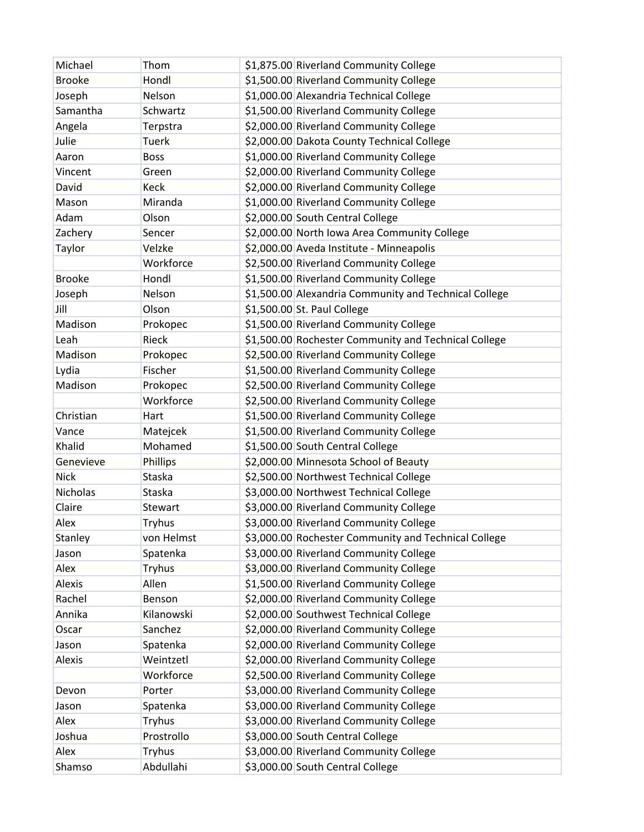| Michael         | Thom          | \$1,875.00 Riverland Community College                |
|-----------------|---------------|-------------------------------------------------------|
| <b>Brooke</b>   | Hondl         | \$1,500.00 Riverland Community College                |
| Joseph          | Nelson        | \$1,000.00 Alexandria Technical College               |
| Samantha        | Schwartz      | \$1,500.00 Riverland Community College                |
| Angela          | Terpstra      | \$2,000.00 Riverland Community College                |
| Julie           | <b>Tuerk</b>  | \$2,000.00 Dakota County Technical College            |
| Aaron           | <b>Boss</b>   | \$1,000.00 Riverland Community College                |
| Vincent         | Green         | \$2,000.00 Riverland Community College                |
| David           | Keck          | \$2,000.00 Riverland Community College                |
| Mason           | Miranda       | \$1,000.00 Riverland Community College                |
| Adam            | Olson         | \$2,000.00 South Central College                      |
| Zachery         | Sencer        | \$2,000.00 North Iowa Area Community College          |
| Taylor          | Velzke        | \$2,000.00 Aveda Institute - Minneapolis              |
|                 | Workforce     | \$2,500.00 Riverland Community College                |
| <b>Brooke</b>   | Hondl         | \$1,500.00 Riverland Community College                |
| Joseph          | Nelson        | \$1,500.00 Alexandria Community and Technical College |
| Jill            | Olson         | \$1,500.00 St. Paul College                           |
| Madison         | Prokopec      | \$1,500.00 Riverland Community College                |
| Leah            | Rieck         | \$1,500.00 Rochester Community and Technical College  |
| Madison         | Prokopec      | \$2,500.00 Riverland Community College                |
| Lydia           | Fischer       | \$1,500.00 Riverland Community College                |
| Madison         | Prokopec      | \$2,500.00 Riverland Community College                |
|                 | Workforce     | \$2,500.00 Riverland Community College                |
| Christian       | Hart          | \$1,500.00 Riverland Community College                |
| Vance           | Matejcek      | \$1,500.00 Riverland Community College                |
| Khalid          | Mohamed       | \$1,500.00 South Central College                      |
| Genevieve       | Phillips      | \$2,000.00 Minnesota School of Beauty                 |
| <b>Nick</b>     | Staska        | \$2,500.00 Northwest Technical College                |
| <b>Nicholas</b> | Staska        | \$3,000.00 Northwest Technical College                |
| Claire          | Stewart       | \$3,000.00 Riverland Community College                |
| Alex            | Tryhus        | \$3,000.00 Riverland Community College                |
| Stanley         | von Helmst    | \$3,000.00 Rochester Community and Technical College  |
| Jason           | Spatenka      | \$3,000.00 Riverland Community College                |
| Alex            | <b>Tryhus</b> | \$3,000.00 Riverland Community College                |
| Alexis          | Allen         | \$1,500.00 Riverland Community College                |
| Rachel          | Benson        | \$2,000.00 Riverland Community College                |
| Annika          | Kilanowski    | \$2,000.00 Southwest Technical College                |
| Oscar           | Sanchez       | \$2,000.00 Riverland Community College                |
| Jason           | Spatenka      | \$2,000.00 Riverland Community College                |
| Alexis          | Weintzetl     | \$2,000.00 Riverland Community College                |
|                 | Workforce     | \$2,500.00 Riverland Community College                |
| Devon           | Porter        | \$3,000.00 Riverland Community College                |
| Jason           | Spatenka      | \$3,000.00 Riverland Community College                |
| Alex            | <b>Tryhus</b> | \$3,000.00 Riverland Community College                |
| Joshua          | Prostrollo    | \$3,000.00 South Central College                      |
| Alex            | <b>Tryhus</b> | \$3,000.00 Riverland Community College                |
| Shamso          | Abdullahi     | \$3,000.00 South Central College                      |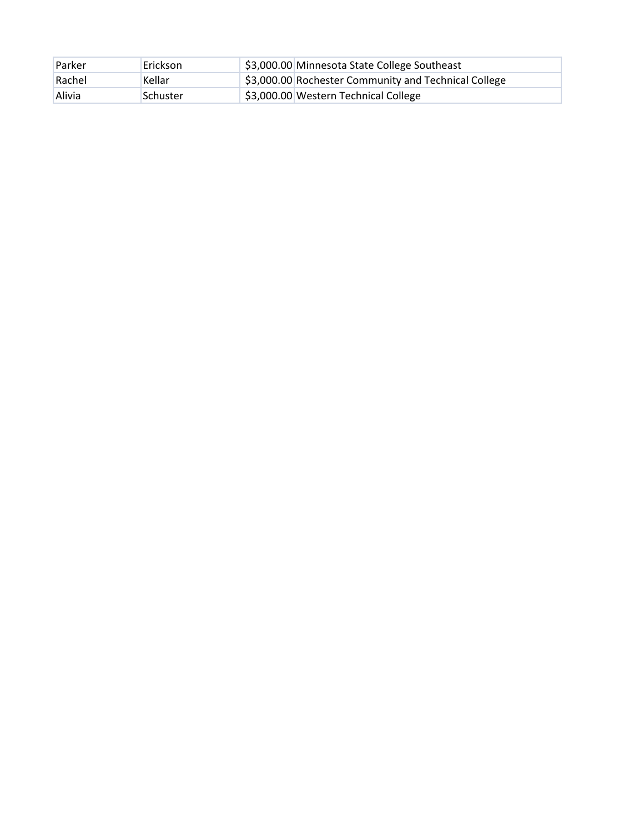| <b>Parker</b> | <b>Erickson</b> | \$3,000.00 Minnesota State College Southeast         |
|---------------|-----------------|------------------------------------------------------|
| Rachel        | Kellar          | \$3,000.00 Rochester Community and Technical College |
| <b>Alivia</b> | Schuster        | \$3,000.00 Western Technical College                 |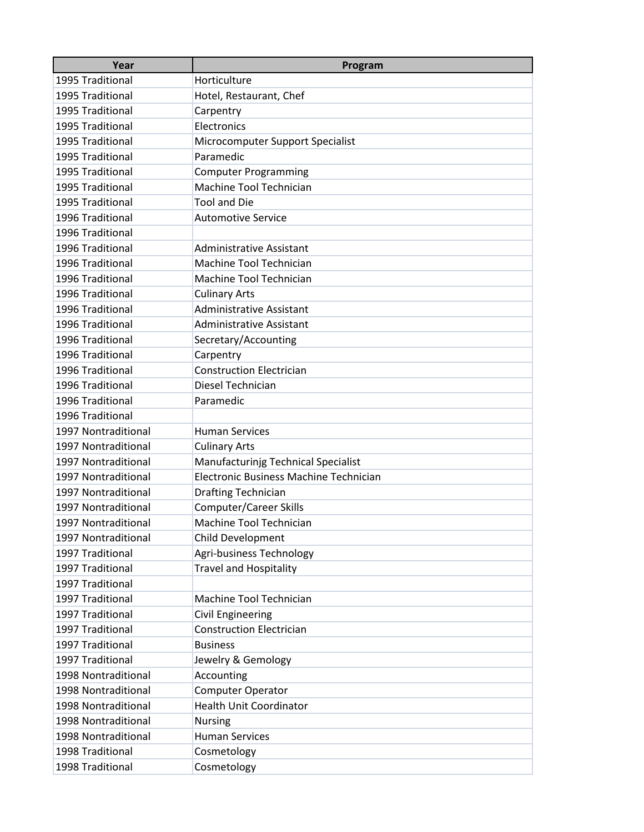| Year                | Program                                |
|---------------------|----------------------------------------|
| 1995 Traditional    | Horticulture                           |
| 1995 Traditional    | Hotel, Restaurant, Chef                |
| 1995 Traditional    | Carpentry                              |
| 1995 Traditional    | Electronics                            |
| 1995 Traditional    | Microcomputer Support Specialist       |
| 1995 Traditional    | Paramedic                              |
| 1995 Traditional    | <b>Computer Programming</b>            |
| 1995 Traditional    | Machine Tool Technician                |
| 1995 Traditional    | <b>Tool and Die</b>                    |
| 1996 Traditional    | <b>Automotive Service</b>              |
| 1996 Traditional    |                                        |
| 1996 Traditional    | <b>Administrative Assistant</b>        |
| 1996 Traditional    | Machine Tool Technician                |
| 1996 Traditional    | Machine Tool Technician                |
| 1996 Traditional    | <b>Culinary Arts</b>                   |
| 1996 Traditional    | <b>Administrative Assistant</b>        |
| 1996 Traditional    | <b>Administrative Assistant</b>        |
| 1996 Traditional    | Secretary/Accounting                   |
| 1996 Traditional    | Carpentry                              |
| 1996 Traditional    | <b>Construction Electrician</b>        |
| 1996 Traditional    | Diesel Technician                      |
| 1996 Traditional    | Paramedic                              |
| 1996 Traditional    |                                        |
| 1997 Nontraditional | <b>Human Services</b>                  |
| 1997 Nontraditional | <b>Culinary Arts</b>                   |
| 1997 Nontraditional | Manufacturinjg Technical Specialist    |
| 1997 Nontraditional | Electronic Business Machine Technician |
| 1997 Nontraditional | <b>Drafting Technician</b>             |
| 1997 Nontraditional | <b>Computer/Career Skills</b>          |
| 1997 Nontraditional | Machine Tool Technician                |
| 1997 Nontraditional | Child Development                      |
| 1997 Traditional    | Agri-business Technology               |
| 1997 Traditional    | <b>Travel and Hospitality</b>          |
| 1997 Traditional    |                                        |
| 1997 Traditional    | Machine Tool Technician                |
| 1997 Traditional    | <b>Civil Engineering</b>               |
| 1997 Traditional    | <b>Construction Electrician</b>        |
| 1997 Traditional    | <b>Business</b>                        |
| 1997 Traditional    | Jewelry & Gemology                     |
| 1998 Nontraditional | Accounting                             |
| 1998 Nontraditional | <b>Computer Operator</b>               |
| 1998 Nontraditional | <b>Health Unit Coordinator</b>         |
| 1998 Nontraditional | Nursing                                |
| 1998 Nontraditional | <b>Human Services</b>                  |
| 1998 Traditional    | Cosmetology                            |
| 1998 Traditional    | Cosmetology                            |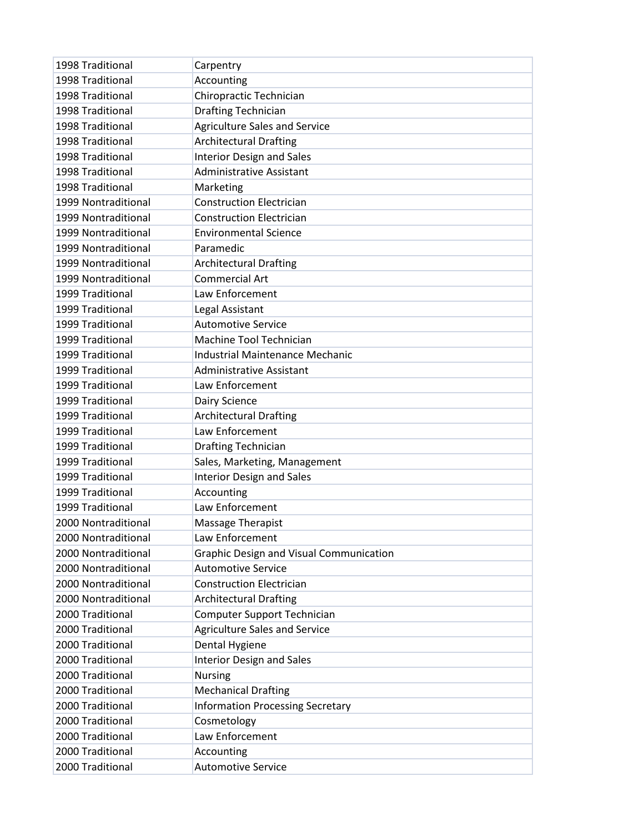| 1998 Traditional    | Carpentry                                      |
|---------------------|------------------------------------------------|
| 1998 Traditional    | Accounting                                     |
| 1998 Traditional    | Chiropractic Technician                        |
| 1998 Traditional    | <b>Drafting Technician</b>                     |
| 1998 Traditional    | <b>Agriculture Sales and Service</b>           |
| 1998 Traditional    | <b>Architectural Drafting</b>                  |
| 1998 Traditional    | <b>Interior Design and Sales</b>               |
| 1998 Traditional    | <b>Administrative Assistant</b>                |
| 1998 Traditional    | Marketing                                      |
| 1999 Nontraditional | <b>Construction Electrician</b>                |
| 1999 Nontraditional | <b>Construction Electrician</b>                |
| 1999 Nontraditional | <b>Environmental Science</b>                   |
| 1999 Nontraditional | Paramedic                                      |
| 1999 Nontraditional | <b>Architectural Drafting</b>                  |
| 1999 Nontraditional | <b>Commercial Art</b>                          |
| 1999 Traditional    | Law Enforcement                                |
| 1999 Traditional    | Legal Assistant                                |
| 1999 Traditional    | <b>Automotive Service</b>                      |
| 1999 Traditional    | Machine Tool Technician                        |
| 1999 Traditional    | <b>Industrial Maintenance Mechanic</b>         |
| 1999 Traditional    | <b>Administrative Assistant</b>                |
| 1999 Traditional    | Law Enforcement                                |
| 1999 Traditional    | Dairy Science                                  |
| 1999 Traditional    | <b>Architectural Drafting</b>                  |
| 1999 Traditional    | Law Enforcement                                |
| 1999 Traditional    | <b>Drafting Technician</b>                     |
| 1999 Traditional    | Sales, Marketing, Management                   |
| 1999 Traditional    | <b>Interior Design and Sales</b>               |
| 1999 Traditional    | Accounting                                     |
| 1999 Traditional    | Law Enforcement                                |
| 2000 Nontraditional | Massage Therapist                              |
| 2000 Nontraditional | Law Enforcement                                |
| 2000 Nontraditional | <b>Graphic Design and Visual Communication</b> |
| 2000 Nontraditional | <b>Automotive Service</b>                      |
| 2000 Nontraditional | <b>Construction Electrician</b>                |
| 2000 Nontraditional | <b>Architectural Drafting</b>                  |
| 2000 Traditional    | <b>Computer Support Technician</b>             |
| 2000 Traditional    | <b>Agriculture Sales and Service</b>           |
| 2000 Traditional    | Dental Hygiene                                 |
| 2000 Traditional    | <b>Interior Design and Sales</b>               |
| 2000 Traditional    | <b>Nursing</b>                                 |
| 2000 Traditional    | <b>Mechanical Drafting</b>                     |
| 2000 Traditional    | <b>Information Processing Secretary</b>        |
| 2000 Traditional    | Cosmetology                                    |
| 2000 Traditional    | Law Enforcement                                |
| 2000 Traditional    | Accounting                                     |
| 2000 Traditional    | <b>Automotive Service</b>                      |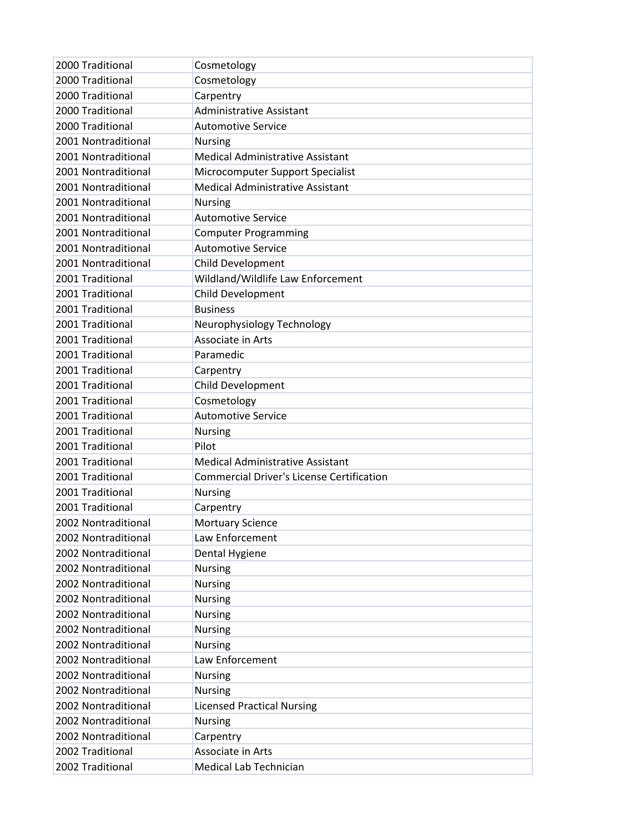| 2000 Traditional    | Cosmetology                                      |
|---------------------|--------------------------------------------------|
| 2000 Traditional    | Cosmetology                                      |
| 2000 Traditional    | Carpentry                                        |
| 2000 Traditional    | <b>Administrative Assistant</b>                  |
| 2000 Traditional    | <b>Automotive Service</b>                        |
| 2001 Nontraditional | <b>Nursing</b>                                   |
| 2001 Nontraditional | <b>Medical Administrative Assistant</b>          |
| 2001 Nontraditional | Microcomputer Support Specialist                 |
| 2001 Nontraditional | <b>Medical Administrative Assistant</b>          |
| 2001 Nontraditional | <b>Nursing</b>                                   |
| 2001 Nontraditional | <b>Automotive Service</b>                        |
| 2001 Nontraditional | <b>Computer Programming</b>                      |
| 2001 Nontraditional | <b>Automotive Service</b>                        |
| 2001 Nontraditional | Child Development                                |
| 2001 Traditional    | Wildland/Wildlife Law Enforcement                |
| 2001 Traditional    | Child Development                                |
| 2001 Traditional    | <b>Business</b>                                  |
| 2001 Traditional    | Neurophysiology Technology                       |
| 2001 Traditional    | Associate in Arts                                |
| 2001 Traditional    | Paramedic                                        |
| 2001 Traditional    | Carpentry                                        |
| 2001 Traditional    | Child Development                                |
| 2001 Traditional    | Cosmetology                                      |
| 2001 Traditional    | <b>Automotive Service</b>                        |
| 2001 Traditional    | <b>Nursing</b>                                   |
| 2001 Traditional    | Pilot                                            |
| 2001 Traditional    | <b>Medical Administrative Assistant</b>          |
| 2001 Traditional    | <b>Commercial Driver's License Certification</b> |
| 2001 Traditional    | <b>Nursing</b>                                   |
| 2001 Traditional    | Carpentry                                        |
| 2002 Nontraditional | <b>Mortuary Science</b>                          |
| 2002 Nontraditional | Law Enforcement                                  |
| 2002 Nontraditional | Dental Hygiene                                   |
| 2002 Nontraditional | <b>Nursing</b>                                   |
| 2002 Nontraditional | <b>Nursing</b>                                   |
| 2002 Nontraditional | <b>Nursing</b>                                   |
| 2002 Nontraditional | <b>Nursing</b>                                   |
| 2002 Nontraditional | <b>Nursing</b>                                   |
| 2002 Nontraditional | <b>Nursing</b>                                   |
| 2002 Nontraditional | Law Enforcement                                  |
| 2002 Nontraditional | <b>Nursing</b>                                   |
| 2002 Nontraditional | <b>Nursing</b>                                   |
| 2002 Nontraditional | <b>Licensed Practical Nursing</b>                |
| 2002 Nontraditional | <b>Nursing</b>                                   |
| 2002 Nontraditional | Carpentry                                        |
| 2002 Traditional    | Associate in Arts                                |
| 2002 Traditional    | <b>Medical Lab Technician</b>                    |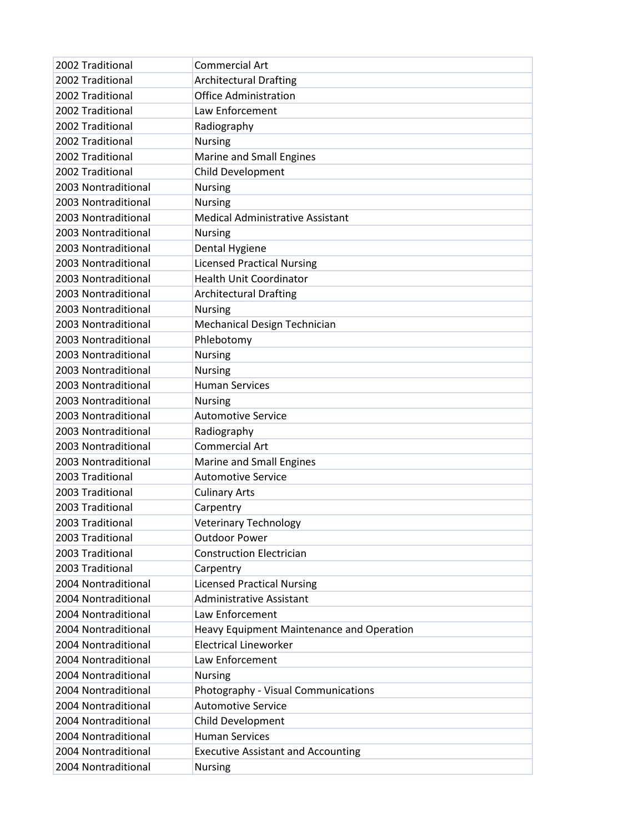| 2002 Traditional    | <b>Commercial Art</b>                            |
|---------------------|--------------------------------------------------|
| 2002 Traditional    | <b>Architectural Drafting</b>                    |
| 2002 Traditional    | <b>Office Administration</b>                     |
| 2002 Traditional    | Law Enforcement                                  |
| 2002 Traditional    | Radiography                                      |
| 2002 Traditional    | <b>Nursing</b>                                   |
| 2002 Traditional    | Marine and Small Engines                         |
| 2002 Traditional    | Child Development                                |
| 2003 Nontraditional | <b>Nursing</b>                                   |
| 2003 Nontraditional | <b>Nursing</b>                                   |
| 2003 Nontraditional | Medical Administrative Assistant                 |
| 2003 Nontraditional | Nursing                                          |
| 2003 Nontraditional | Dental Hygiene                                   |
| 2003 Nontraditional | <b>Licensed Practical Nursing</b>                |
| 2003 Nontraditional | <b>Health Unit Coordinator</b>                   |
| 2003 Nontraditional | <b>Architectural Drafting</b>                    |
| 2003 Nontraditional | <b>Nursing</b>                                   |
| 2003 Nontraditional | Mechanical Design Technician                     |
| 2003 Nontraditional | Phlebotomy                                       |
| 2003 Nontraditional | <b>Nursing</b>                                   |
| 2003 Nontraditional | <b>Nursing</b>                                   |
| 2003 Nontraditional | <b>Human Services</b>                            |
| 2003 Nontraditional | <b>Nursing</b>                                   |
| 2003 Nontraditional | <b>Automotive Service</b>                        |
| 2003 Nontraditional | Radiography                                      |
| 2003 Nontraditional | <b>Commercial Art</b>                            |
| 2003 Nontraditional | Marine and Small Engines                         |
| 2003 Traditional    | <b>Automotive Service</b>                        |
| 2003 Traditional    | <b>Culinary Arts</b>                             |
| 2003 Traditional    | Carpentry                                        |
| 2003 Traditional    | <b>Veterinary Technology</b>                     |
| 2003 Traditional    | <b>Outdoor Power</b>                             |
| 2003 Traditional    | <b>Construction Electrician</b>                  |
| 2003 Traditional    | Carpentry                                        |
| 2004 Nontraditional | <b>Licensed Practical Nursing</b>                |
| 2004 Nontraditional | <b>Administrative Assistant</b>                  |
| 2004 Nontraditional | Law Enforcement                                  |
| 2004 Nontraditional | <b>Heavy Equipment Maintenance and Operation</b> |
| 2004 Nontraditional | <b>Electrical Lineworker</b>                     |
| 2004 Nontraditional | Law Enforcement                                  |
| 2004 Nontraditional | <b>Nursing</b>                                   |
| 2004 Nontraditional | Photography - Visual Communications              |
| 2004 Nontraditional | <b>Automotive Service</b>                        |
| 2004 Nontraditional | Child Development                                |
| 2004 Nontraditional | <b>Human Services</b>                            |
| 2004 Nontraditional | <b>Executive Assistant and Accounting</b>        |
| 2004 Nontraditional | Nursing                                          |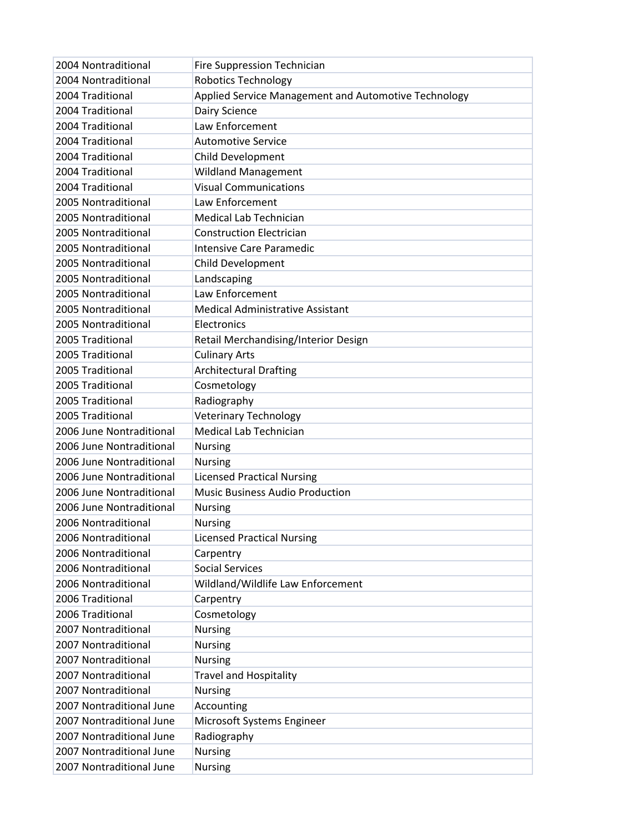| 2004 Nontraditional      | Fire Suppression Technician                          |
|--------------------------|------------------------------------------------------|
| 2004 Nontraditional      | <b>Robotics Technology</b>                           |
| 2004 Traditional         | Applied Service Management and Automotive Technology |
| 2004 Traditional         | Dairy Science                                        |
| 2004 Traditional         | Law Enforcement                                      |
| 2004 Traditional         | <b>Automotive Service</b>                            |
| 2004 Traditional         | Child Development                                    |
| 2004 Traditional         | <b>Wildland Management</b>                           |
| 2004 Traditional         | <b>Visual Communications</b>                         |
| 2005 Nontraditional      | Law Enforcement                                      |
| 2005 Nontraditional      | <b>Medical Lab Technician</b>                        |
| 2005 Nontraditional      | <b>Construction Electrician</b>                      |
| 2005 Nontraditional      | Intensive Care Paramedic                             |
| 2005 Nontraditional      | Child Development                                    |
| 2005 Nontraditional      | Landscaping                                          |
| 2005 Nontraditional      | Law Enforcement                                      |
| 2005 Nontraditional      | <b>Medical Administrative Assistant</b>              |
| 2005 Nontraditional      | Electronics                                          |
| 2005 Traditional         | Retail Merchandising/Interior Design                 |
| 2005 Traditional         | <b>Culinary Arts</b>                                 |
| 2005 Traditional         | <b>Architectural Drafting</b>                        |
| 2005 Traditional         | Cosmetology                                          |
| 2005 Traditional         | Radiography                                          |
| 2005 Traditional         | <b>Veterinary Technology</b>                         |
| 2006 June Nontraditional | <b>Medical Lab Technician</b>                        |
| 2006 June Nontraditional | <b>Nursing</b>                                       |
| 2006 June Nontraditional | <b>Nursing</b>                                       |
| 2006 June Nontraditional | <b>Licensed Practical Nursing</b>                    |
| 2006 June Nontraditional | <b>Music Business Audio Production</b>               |
| 2006 June Nontraditional | <b>Nursing</b>                                       |
| 2006 Nontraditional      | <b>Nursing</b>                                       |
| 2006 Nontraditional      | <b>Licensed Practical Nursing</b>                    |
| 2006 Nontraditional      | Carpentry                                            |
| 2006 Nontraditional      | <b>Social Services</b>                               |
| 2006 Nontraditional      | Wildland/Wildlife Law Enforcement                    |
| 2006 Traditional         | Carpentry                                            |
| 2006 Traditional         | Cosmetology                                          |
| 2007 Nontraditional      | <b>Nursing</b>                                       |
| 2007 Nontraditional      | <b>Nursing</b>                                       |
| 2007 Nontraditional      | <b>Nursing</b>                                       |
| 2007 Nontraditional      | <b>Travel and Hospitality</b>                        |
| 2007 Nontraditional      | <b>Nursing</b>                                       |
| 2007 Nontraditional June | Accounting                                           |
| 2007 Nontraditional June | Microsoft Systems Engineer                           |
| 2007 Nontraditional June | Radiography                                          |
| 2007 Nontraditional June | <b>Nursing</b>                                       |
| 2007 Nontraditional June | Nursing                                              |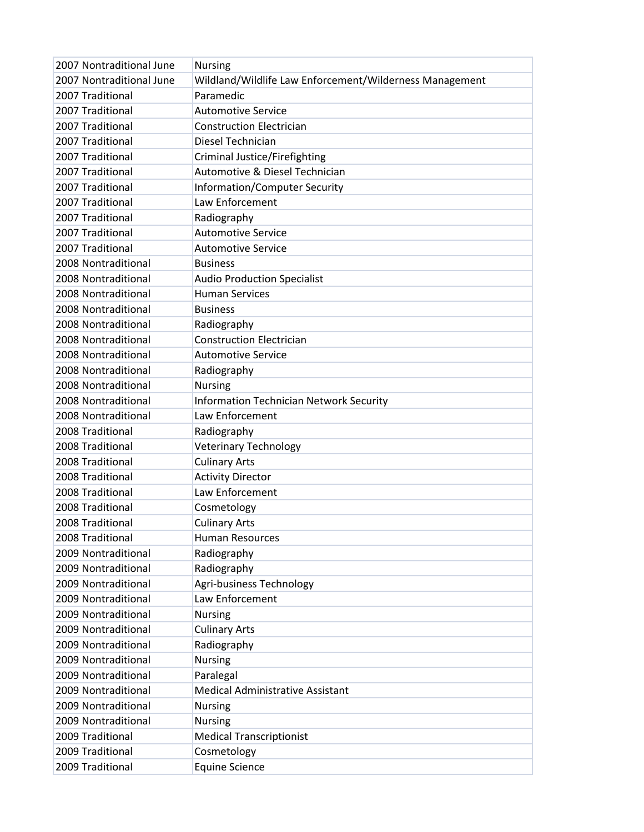| 2007 Nontraditional June | <b>Nursing</b>                                          |
|--------------------------|---------------------------------------------------------|
| 2007 Nontraditional June | Wildland/Wildlife Law Enforcement/Wilderness Management |
| 2007 Traditional         | Paramedic                                               |
| 2007 Traditional         | <b>Automotive Service</b>                               |
| 2007 Traditional         | <b>Construction Electrician</b>                         |
| 2007 Traditional         | Diesel Technician                                       |
| 2007 Traditional         | Criminal Justice/Firefighting                           |
| 2007 Traditional         | Automotive & Diesel Technician                          |
| 2007 Traditional         | <b>Information/Computer Security</b>                    |
| 2007 Traditional         | Law Enforcement                                         |
| 2007 Traditional         | Radiography                                             |
| 2007 Traditional         | <b>Automotive Service</b>                               |
| 2007 Traditional         | <b>Automotive Service</b>                               |
| 2008 Nontraditional      | <b>Business</b>                                         |
| 2008 Nontraditional      | <b>Audio Production Specialist</b>                      |
| 2008 Nontraditional      | <b>Human Services</b>                                   |
| 2008 Nontraditional      | <b>Business</b>                                         |
| 2008 Nontraditional      | Radiography                                             |
| 2008 Nontraditional      | <b>Construction Electrician</b>                         |
| 2008 Nontraditional      | <b>Automotive Service</b>                               |
| 2008 Nontraditional      | Radiography                                             |
| 2008 Nontraditional      | <b>Nursing</b>                                          |
| 2008 Nontraditional      | <b>Information Technician Network Security</b>          |
| 2008 Nontraditional      | Law Enforcement                                         |
| 2008 Traditional         | Radiography                                             |
| 2008 Traditional         | <b>Veterinary Technology</b>                            |
| 2008 Traditional         | <b>Culinary Arts</b>                                    |
| 2008 Traditional         | <b>Activity Director</b>                                |
| 2008 Traditional         | Law Enforcement                                         |
| 2008 Traditional         | Cosmetology                                             |
| 2008 Traditional         | <b>Culinary Arts</b>                                    |
| 2008 Traditional         | <b>Human Resources</b>                                  |
| 2009 Nontraditional      | Radiography                                             |
| 2009 Nontraditional      | Radiography                                             |
| 2009 Nontraditional      | Agri-business Technology                                |
| 2009 Nontraditional      | Law Enforcement                                         |
| 2009 Nontraditional      | <b>Nursing</b>                                          |
| 2009 Nontraditional      | <b>Culinary Arts</b>                                    |
| 2009 Nontraditional      | Radiography                                             |
| 2009 Nontraditional      | <b>Nursing</b>                                          |
| 2009 Nontraditional      | Paralegal                                               |
| 2009 Nontraditional      | Medical Administrative Assistant                        |
| 2009 Nontraditional      | <b>Nursing</b>                                          |
| 2009 Nontraditional      | <b>Nursing</b>                                          |
| 2009 Traditional         | <b>Medical Transcriptionist</b>                         |
| 2009 Traditional         | Cosmetology                                             |
| 2009 Traditional         | <b>Equine Science</b>                                   |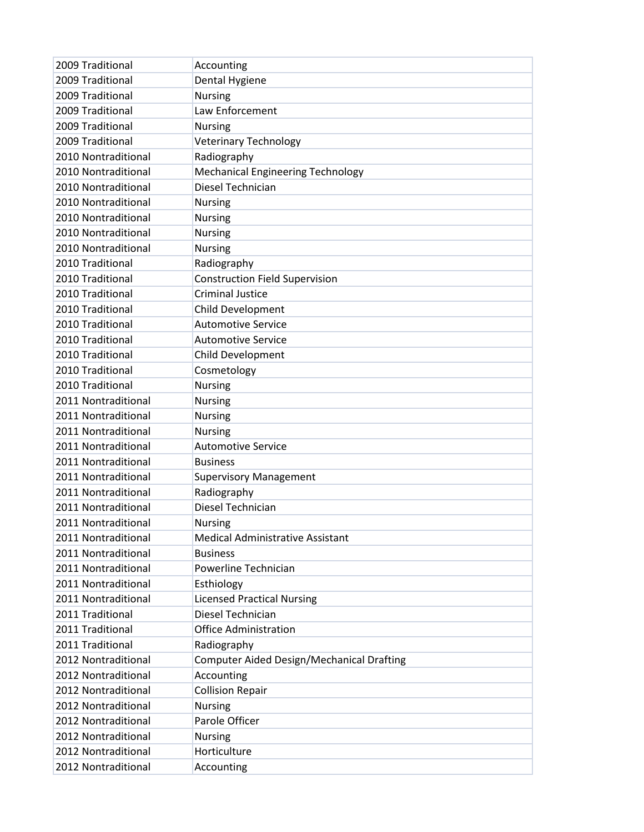| 2009 Traditional    | Accounting                                       |
|---------------------|--------------------------------------------------|
| 2009 Traditional    | Dental Hygiene                                   |
| 2009 Traditional    | <b>Nursing</b>                                   |
| 2009 Traditional    | Law Enforcement                                  |
| 2009 Traditional    | <b>Nursing</b>                                   |
| 2009 Traditional    | <b>Veterinary Technology</b>                     |
| 2010 Nontraditional | Radiography                                      |
| 2010 Nontraditional | <b>Mechanical Engineering Technology</b>         |
| 2010 Nontraditional | Diesel Technician                                |
| 2010 Nontraditional | <b>Nursing</b>                                   |
| 2010 Nontraditional | <b>Nursing</b>                                   |
| 2010 Nontraditional | <b>Nursing</b>                                   |
| 2010 Nontraditional | <b>Nursing</b>                                   |
| 2010 Traditional    | Radiography                                      |
| 2010 Traditional    | <b>Construction Field Supervision</b>            |
| 2010 Traditional    | <b>Criminal Justice</b>                          |
| 2010 Traditional    | Child Development                                |
| 2010 Traditional    | <b>Automotive Service</b>                        |
| 2010 Traditional    | <b>Automotive Service</b>                        |
| 2010 Traditional    | Child Development                                |
| 2010 Traditional    | Cosmetology                                      |
| 2010 Traditional    | <b>Nursing</b>                                   |
| 2011 Nontraditional | <b>Nursing</b>                                   |
| 2011 Nontraditional | <b>Nursing</b>                                   |
| 2011 Nontraditional | <b>Nursing</b>                                   |
| 2011 Nontraditional | <b>Automotive Service</b>                        |
| 2011 Nontraditional | <b>Business</b>                                  |
| 2011 Nontraditional | <b>Supervisory Management</b>                    |
| 2011 Nontraditional | Radiography                                      |
| 2011 Nontraditional | Diesel Technician                                |
| 2011 Nontraditional | <b>Nursing</b>                                   |
| 2011 Nontraditional | <b>Medical Administrative Assistant</b>          |
| 2011 Nontraditional | <b>Business</b>                                  |
| 2011 Nontraditional | Powerline Technician                             |
| 2011 Nontraditional | Esthiology                                       |
| 2011 Nontraditional | <b>Licensed Practical Nursing</b>                |
| 2011 Traditional    | Diesel Technician                                |
| 2011 Traditional    | <b>Office Administration</b>                     |
| 2011 Traditional    | Radiography                                      |
| 2012 Nontraditional | <b>Computer Aided Design/Mechanical Drafting</b> |
| 2012 Nontraditional | Accounting                                       |
| 2012 Nontraditional | <b>Collision Repair</b>                          |
| 2012 Nontraditional | <b>Nursing</b>                                   |
| 2012 Nontraditional | Parole Officer                                   |
| 2012 Nontraditional | <b>Nursing</b>                                   |
| 2012 Nontraditional | Horticulture                                     |
| 2012 Nontraditional | Accounting                                       |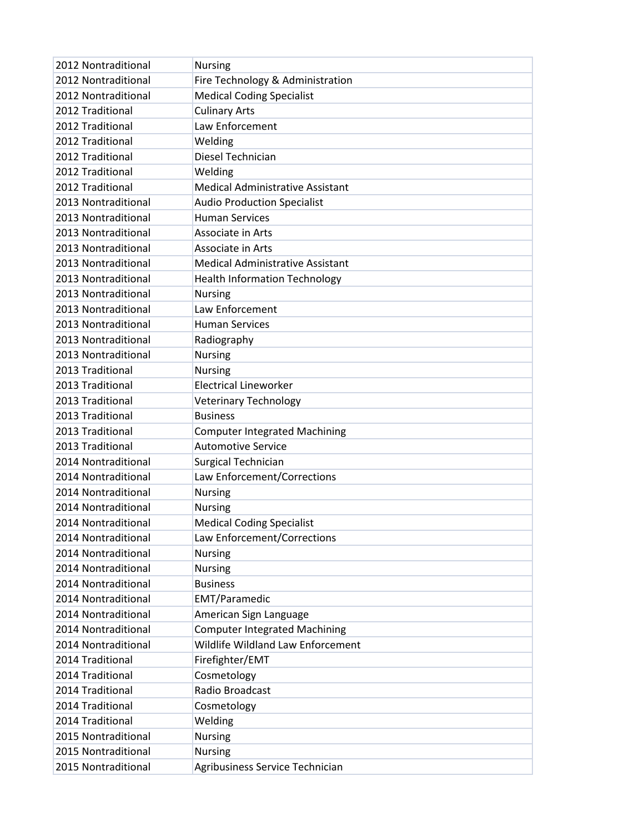| 2012 Nontraditional | <b>Nursing</b>                          |
|---------------------|-----------------------------------------|
| 2012 Nontraditional | Fire Technology & Administration        |
| 2012 Nontraditional | <b>Medical Coding Specialist</b>        |
| 2012 Traditional    | <b>Culinary Arts</b>                    |
| 2012 Traditional    | Law Enforcement                         |
| 2012 Traditional    | Welding                                 |
| 2012 Traditional    | Diesel Technician                       |
| 2012 Traditional    | Welding                                 |
| 2012 Traditional    | <b>Medical Administrative Assistant</b> |
| 2013 Nontraditional | <b>Audio Production Specialist</b>      |
| 2013 Nontraditional | <b>Human Services</b>                   |
| 2013 Nontraditional | Associate in Arts                       |
| 2013 Nontraditional | Associate in Arts                       |
| 2013 Nontraditional | <b>Medical Administrative Assistant</b> |
| 2013 Nontraditional | <b>Health Information Technology</b>    |
| 2013 Nontraditional | <b>Nursing</b>                          |
| 2013 Nontraditional | Law Enforcement                         |
| 2013 Nontraditional | <b>Human Services</b>                   |
| 2013 Nontraditional | Radiography                             |
| 2013 Nontraditional | <b>Nursing</b>                          |
| 2013 Traditional    | <b>Nursing</b>                          |
| 2013 Traditional    | <b>Electrical Lineworker</b>            |
| 2013 Traditional    | <b>Veterinary Technology</b>            |
| 2013 Traditional    | <b>Business</b>                         |
| 2013 Traditional    | <b>Computer Integrated Machining</b>    |
| 2013 Traditional    | <b>Automotive Service</b>               |
| 2014 Nontraditional | Surgical Technician                     |
| 2014 Nontraditional | Law Enforcement/Corrections             |
| 2014 Nontraditional | <b>Nursing</b>                          |
| 2014 Nontraditional | <b>Nursing</b>                          |
| 2014 Nontraditional | <b>Medical Coding Specialist</b>        |
| 2014 Nontraditional | Law Enforcement/Corrections             |
| 2014 Nontraditional | <b>Nursing</b>                          |
| 2014 Nontraditional | <b>Nursing</b>                          |
| 2014 Nontraditional | <b>Business</b>                         |
| 2014 Nontraditional | <b>EMT/Paramedic</b>                    |
| 2014 Nontraditional | American Sign Language                  |
| 2014 Nontraditional | <b>Computer Integrated Machining</b>    |
| 2014 Nontraditional | Wildlife Wildland Law Enforcement       |
| 2014 Traditional    | Firefighter/EMT                         |
| 2014 Traditional    | Cosmetology                             |
| 2014 Traditional    | Radio Broadcast                         |
| 2014 Traditional    | Cosmetology                             |
| 2014 Traditional    | Welding                                 |
| 2015 Nontraditional | <b>Nursing</b>                          |
| 2015 Nontraditional | <b>Nursing</b>                          |
| 2015 Nontraditional | Agribusiness Service Technician         |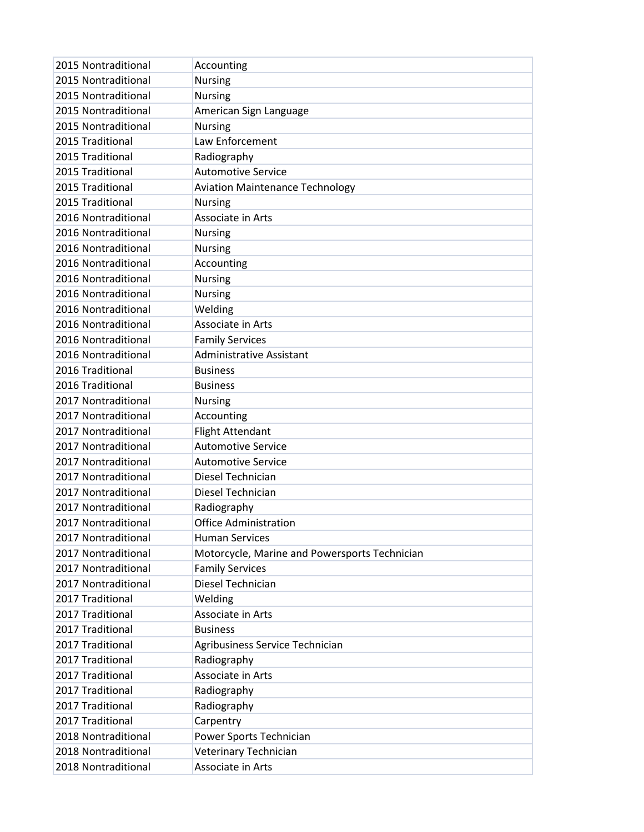| 2015 Nontraditional | Accounting                                    |
|---------------------|-----------------------------------------------|
| 2015 Nontraditional | <b>Nursing</b>                                |
| 2015 Nontraditional | <b>Nursing</b>                                |
| 2015 Nontraditional | American Sign Language                        |
| 2015 Nontraditional | <b>Nursing</b>                                |
| 2015 Traditional    | Law Enforcement                               |
| 2015 Traditional    | Radiography                                   |
| 2015 Traditional    | <b>Automotive Service</b>                     |
| 2015 Traditional    | <b>Aviation Maintenance Technology</b>        |
| 2015 Traditional    | <b>Nursing</b>                                |
| 2016 Nontraditional | Associate in Arts                             |
| 2016 Nontraditional | <b>Nursing</b>                                |
| 2016 Nontraditional | Nursing                                       |
| 2016 Nontraditional | Accounting                                    |
| 2016 Nontraditional | <b>Nursing</b>                                |
| 2016 Nontraditional | <b>Nursing</b>                                |
| 2016 Nontraditional | Welding                                       |
| 2016 Nontraditional | Associate in Arts                             |
| 2016 Nontraditional | <b>Family Services</b>                        |
| 2016 Nontraditional | <b>Administrative Assistant</b>               |
| 2016 Traditional    | <b>Business</b>                               |
| 2016 Traditional    | <b>Business</b>                               |
| 2017 Nontraditional | <b>Nursing</b>                                |
| 2017 Nontraditional | Accounting                                    |
| 2017 Nontraditional | <b>Flight Attendant</b>                       |
| 2017 Nontraditional | <b>Automotive Service</b>                     |
| 2017 Nontraditional | <b>Automotive Service</b>                     |
| 2017 Nontraditional | Diesel Technician                             |
| 2017 Nontraditional | Diesel Technician                             |
| 2017 Nontraditional | Radiography                                   |
| 2017 Nontraditional | <b>Office Administration</b>                  |
| 2017 Nontraditional | <b>Human Services</b>                         |
| 2017 Nontraditional | Motorcycle, Marine and Powersports Technician |
| 2017 Nontraditional | <b>Family Services</b>                        |
| 2017 Nontraditional | Diesel Technician                             |
| 2017 Traditional    | Welding                                       |
| 2017 Traditional    | Associate in Arts                             |
| 2017 Traditional    | <b>Business</b>                               |
| 2017 Traditional    | Agribusiness Service Technician               |
| 2017 Traditional    | Radiography                                   |
| 2017 Traditional    | Associate in Arts                             |
| 2017 Traditional    | Radiography                                   |
| 2017 Traditional    | Radiography                                   |
| 2017 Traditional    | Carpentry                                     |
| 2018 Nontraditional | Power Sports Technician                       |
| 2018 Nontraditional | Veterinary Technician                         |
| 2018 Nontraditional | Associate in Arts                             |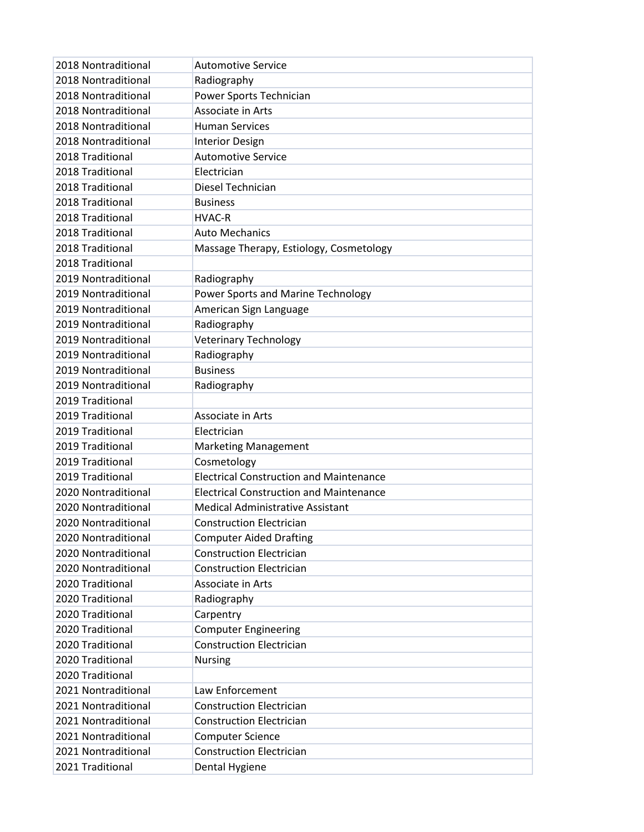| 2018 Nontraditional | <b>Automotive Service</b>                      |
|---------------------|------------------------------------------------|
| 2018 Nontraditional | Radiography                                    |
| 2018 Nontraditional | Power Sports Technician                        |
| 2018 Nontraditional | Associate in Arts                              |
| 2018 Nontraditional | <b>Human Services</b>                          |
| 2018 Nontraditional | <b>Interior Design</b>                         |
| 2018 Traditional    | <b>Automotive Service</b>                      |
| 2018 Traditional    | Electrician                                    |
| 2018 Traditional    | Diesel Technician                              |
| 2018 Traditional    | <b>Business</b>                                |
| 2018 Traditional    | <b>HVAC-R</b>                                  |
| 2018 Traditional    | <b>Auto Mechanics</b>                          |
| 2018 Traditional    | Massage Therapy, Estiology, Cosmetology        |
| 2018 Traditional    |                                                |
| 2019 Nontraditional | Radiography                                    |
| 2019 Nontraditional | Power Sports and Marine Technology             |
| 2019 Nontraditional | American Sign Language                         |
| 2019 Nontraditional | Radiography                                    |
| 2019 Nontraditional | <b>Veterinary Technology</b>                   |
| 2019 Nontraditional | Radiography                                    |
| 2019 Nontraditional | <b>Business</b>                                |
| 2019 Nontraditional | Radiography                                    |
| 2019 Traditional    |                                                |
| 2019 Traditional    | Associate in Arts                              |
| 2019 Traditional    | Electrician                                    |
| 2019 Traditional    | <b>Marketing Management</b>                    |
| 2019 Traditional    | Cosmetology                                    |
| 2019 Traditional    | <b>Electrical Construction and Maintenance</b> |
| 2020 Nontraditional | <b>Electrical Construction and Maintenance</b> |
| 2020 Nontraditional | <b>Medical Administrative Assistant</b>        |
| 2020 Nontraditional | <b>Construction Electrician</b>                |
| 2020 Nontraditional | <b>Computer Aided Drafting</b>                 |
| 2020 Nontraditional | <b>Construction Electrician</b>                |
| 2020 Nontraditional | <b>Construction Electrician</b>                |
| 2020 Traditional    | Associate in Arts                              |
| 2020 Traditional    | Radiography                                    |
| 2020 Traditional    | Carpentry                                      |
| 2020 Traditional    | <b>Computer Engineering</b>                    |
| 2020 Traditional    | <b>Construction Electrician</b>                |
| 2020 Traditional    | <b>Nursing</b>                                 |
| 2020 Traditional    |                                                |
| 2021 Nontraditional | Law Enforcement                                |
| 2021 Nontraditional | <b>Construction Electrician</b>                |
| 2021 Nontraditional | <b>Construction Electrician</b>                |
| 2021 Nontraditional | <b>Computer Science</b>                        |
| 2021 Nontraditional | <b>Construction Electrician</b>                |
| 2021 Traditional    | Dental Hygiene                                 |